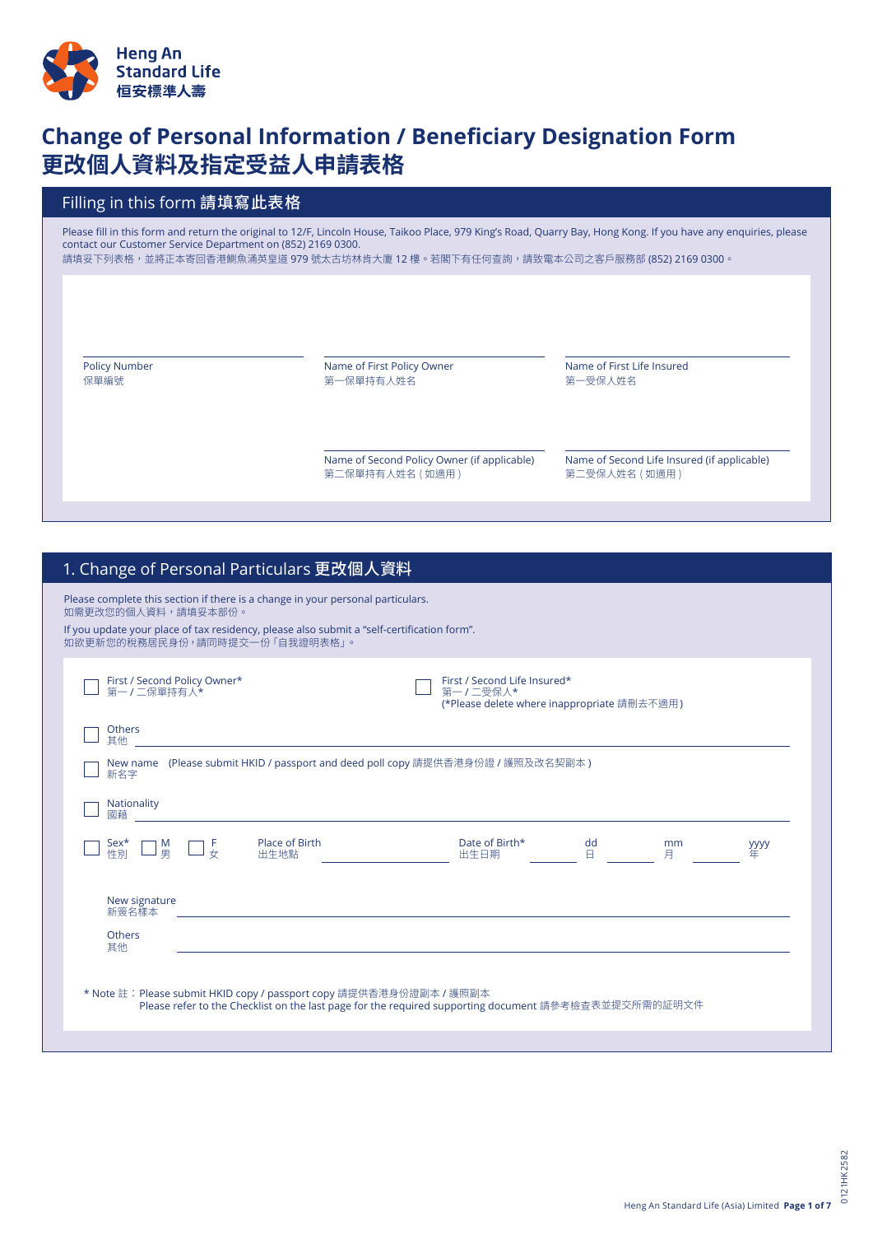

# **Change of Personal Information / Beneficiary Designation Form 更改個人資料及指定受益人申請表格**

# Filling in this form 請填寫此表格

Please fill in this form and return the original to 12/F, Lincoln House, Taikoo Place, 979 King's Road, Quarry Bay, Hong Kong. If you have any enquiries, please contact our Customer Service Department on (852) 2169 0300.

請填妥下列表格,並將正本寄回香港鰂魚涌英皇道 979 號太古坊林肯大廈 12 樓。若閣下有任何查詢,請致電本公司之客戶服務部 (852) 2169 0300。

Policy Number 保單編號

Name of First Policy Owner 第一保單持有人姓名

Name of First Life Insured 第一受保人姓名

Name of Second Policy Owner (if applicable) 第二保單持有人姓名 ( 如適用 )

Name of Second Life Insured (if applicable) 第二受保人姓名 ( 如適用 )

| Please complete this section if there is a change in your personal particulars.<br>If you update your place of tax residency, please also submit a "self-certification form".<br>First / Second Life Insured*<br>First / Second Policy Owner*<br>第一/二保單持有人*<br>第一/二受保人*<br>(*Please delete where inappropriate 請刪去不適用)<br>Others<br>其他<br>New name (Please submit HKID / passport and deed poll copy 請提供香港身份證 / 護照及改名契副本)<br>新名字<br>Nationality<br>dd<br>Place of Birth<br>Date of Birth*<br>Sex*<br>性別<br>M<br>男<br>mm<br>$\frac{F}{\sqrt{2}}$<br><b>уууу</b><br>出生地點<br>$\Box$<br>出生日期<br>月<br>New signature<br>新簽名樣本<br>and the control of the control of the control of the control of the control of the control of the control of the<br><b>Others</b><br>其他<br>* Note 註:Please submit HKID copy / passport copy 請提供香港身份證副本 / 護照副本<br>Please refer to the Checklist on the last page for the required supporting document 請參考檢查表並提交所需的証明文件 | 1. Change of Personal Particulars 更改個人資料            |  |
|--------------------------------------------------------------------------------------------------------------------------------------------------------------------------------------------------------------------------------------------------------------------------------------------------------------------------------------------------------------------------------------------------------------------------------------------------------------------------------------------------------------------------------------------------------------------------------------------------------------------------------------------------------------------------------------------------------------------------------------------------------------------------------------------------------------------------------------------------------------------------------------------------------------------------------------------------|-----------------------------------------------------|--|
|                                                                                                                                                                                                                                                                                                                                                                                                                                                                                                                                                                                                                                                                                                                                                                                                                                                                                                                                                  | 如需更改您的個人資料,請填妥本部份。<br>如欲更新您的稅務居民身份,請同時提交一份「自我證明表格」。 |  |
|                                                                                                                                                                                                                                                                                                                                                                                                                                                                                                                                                                                                                                                                                                                                                                                                                                                                                                                                                  |                                                     |  |
|                                                                                                                                                                                                                                                                                                                                                                                                                                                                                                                                                                                                                                                                                                                                                                                                                                                                                                                                                  |                                                     |  |
|                                                                                                                                                                                                                                                                                                                                                                                                                                                                                                                                                                                                                                                                                                                                                                                                                                                                                                                                                  |                                                     |  |
|                                                                                                                                                                                                                                                                                                                                                                                                                                                                                                                                                                                                                                                                                                                                                                                                                                                                                                                                                  |                                                     |  |
|                                                                                                                                                                                                                                                                                                                                                                                                                                                                                                                                                                                                                                                                                                                                                                                                                                                                                                                                                  |                                                     |  |
|                                                                                                                                                                                                                                                                                                                                                                                                                                                                                                                                                                                                                                                                                                                                                                                                                                                                                                                                                  |                                                     |  |
|                                                                                                                                                                                                                                                                                                                                                                                                                                                                                                                                                                                                                                                                                                                                                                                                                                                                                                                                                  |                                                     |  |
|                                                                                                                                                                                                                                                                                                                                                                                                                                                                                                                                                                                                                                                                                                                                                                                                                                                                                                                                                  |                                                     |  |
|                                                                                                                                                                                                                                                                                                                                                                                                                                                                                                                                                                                                                                                                                                                                                                                                                                                                                                                                                  |                                                     |  |
|                                                                                                                                                                                                                                                                                                                                                                                                                                                                                                                                                                                                                                                                                                                                                                                                                                                                                                                                                  |                                                     |  |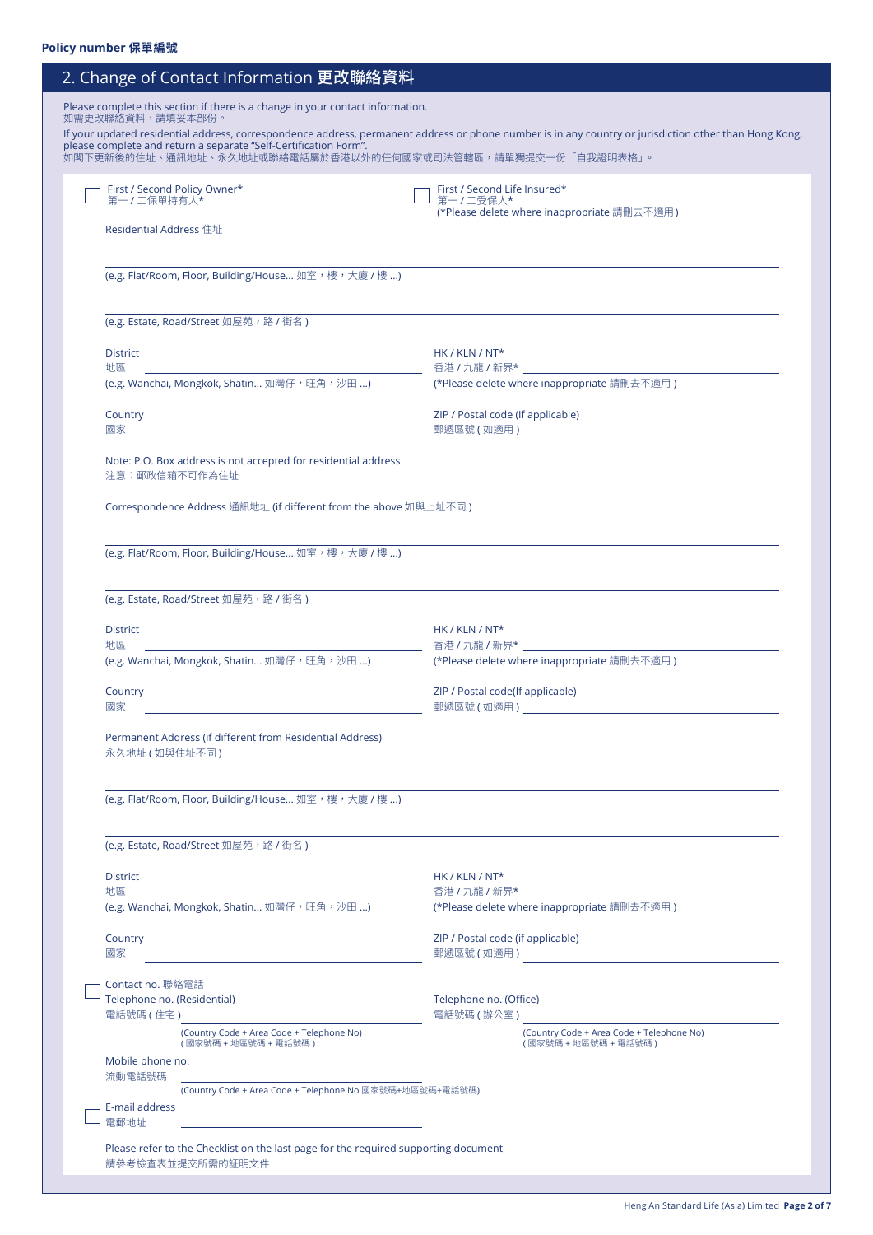| 2. Change of Contact Information 更改聯絡資料                                                                                                                                                                                              |                                                                                                                                                        |
|--------------------------------------------------------------------------------------------------------------------------------------------------------------------------------------------------------------------------------------|--------------------------------------------------------------------------------------------------------------------------------------------------------|
| Please complete this section if there is a change in your contact information.<br>如需更改聯絡資料,請填妥本部份。<br>please complete and return a separate "Self-Certification Form".<br>如閣下更新後的住址、通訊地址、永久地址或聯絡電話屬於香港以外的任何國家或司法管轄區,請單獨提交一份「自我證明表格」。 | If your updated residential address, correspondence address, permanent address or phone number is in any country or jurisdiction other than Hong Kong, |
| First / Second Policy Owner*<br>第一/二保單持有人*                                                                                                                                                                                           | First / Second Life Insured*<br>第一/二受保人*                                                                                                               |
| Residential Address 住址                                                                                                                                                                                                               | (*Please delete where inappropriate 請刪去不適用)                                                                                                            |
| (e.g. Flat/Room, Floor, Building/House 如室,樓,大廈/樓)                                                                                                                                                                                    |                                                                                                                                                        |
| (e.g. Estate, Road/Street 如屋苑, 路 / 街名)                                                                                                                                                                                               |                                                                                                                                                        |
| <b>District</b><br>地區                                                                                                                                                                                                                | $HK / KLN / NT*$                                                                                                                                       |
| (e.g. Wanchai, Mongkok, Shatin 如灣仔,旺角,沙田 )                                                                                                                                                                                           | (*Please delete where inappropriate 請刪去不適用)                                                                                                            |
| Country<br>國家<br><u> 1989 - Johann Barn, fransk politik (d. 1989)</u>                                                                                                                                                                | ZIP / Postal code (If applicable)                                                                                                                      |
| Note: P.O. Box address is not accepted for residential address<br>注意:郵政信箱不可作為住址                                                                                                                                                      |                                                                                                                                                        |
| Correspondence Address 通訊地址 (if different from the above 如與上址不同)                                                                                                                                                                     |                                                                                                                                                        |
| (e.g. Flat/Room, Floor, Building/House 如室,樓,大廈 / 樓 )                                                                                                                                                                                 |                                                                                                                                                        |
| (e.g. Estate, Road/Street 如屋苑,路 / 街名)                                                                                                                                                                                                |                                                                                                                                                        |
| <b>District</b><br><u> 1980 - John Stein, Amerikaansk politiker (</u><br>地區                                                                                                                                                          | HK / KLN / NT*                                                                                                                                         |
| (e.g. Wanchai, Mongkok, Shatin 如灣仔,旺角,沙田 )                                                                                                                                                                                           | (*Please delete where inappropriate 請刪去不適用)                                                                                                            |
| Country<br>國家                                                                                                                                                                                                                        | ZIP / Postal code(If applicable)<br>郵遞區號 ( 如適用 ) いっこう しゅうしょう かんしょう かんしょう かんしょう                                                                         |
| Permanent Address (if different from Residential Address)<br>永久地址 (如與住址不同)                                                                                                                                                           |                                                                                                                                                        |
| (e.g. Flat/Room, Floor, Building/House 如室,樓,大廈/樓)                                                                                                                                                                                    |                                                                                                                                                        |
| (e.g. Estate, Road/Street 如屋苑,路 / 街名 )                                                                                                                                                                                               |                                                                                                                                                        |
| <b>District</b>                                                                                                                                                                                                                      | HK / KLN / NT*                                                                                                                                         |
| 地區<br>(e.g. Wanchai, Mongkok, Shatin 如灣仔,旺角,沙田 )                                                                                                                                                                                     | 香港 / 九龍 / 新界*<br>(*Please delete where inappropriate 請刪去不適用)                                                                                           |
| Country<br>國家                                                                                                                                                                                                                        | ZIP / Postal code (if applicable)<br>郵遞區號 (如適用)                                                                                                        |
| Contact no. 聯絡電話<br>Telephone no. (Residential)                                                                                                                                                                                      | Telephone no. (Office)                                                                                                                                 |
| 電話號碼 ( 住宅 )<br>(Country Code + Area Code + Telephone No)<br>(國家號碼 + 地區號碼 + 電話號碼)                                                                                                                                                     | 電話號碼 (辦公室)<br>(Country Code + Area Code + Telephone No)<br>(國家號碼 + 地區號碼 + 電話號碼)                                                                        |
| Mobile phone no.<br>流動電話號碼                                                                                                                                                                                                           |                                                                                                                                                        |
| (Country Code + Area Code + Telephone No 國家號碼+地區號碼+電話號碼)<br>E-mail address<br>電郵地址                                                                                                                                                   |                                                                                                                                                        |
| Please refer to the Checklist on the last page for the required supporting document<br>請參考檢查表並提交所需的証明文件                                                                                                                              |                                                                                                                                                        |

Heng An Standard Life (Asia) Limited **Page 2 of 7**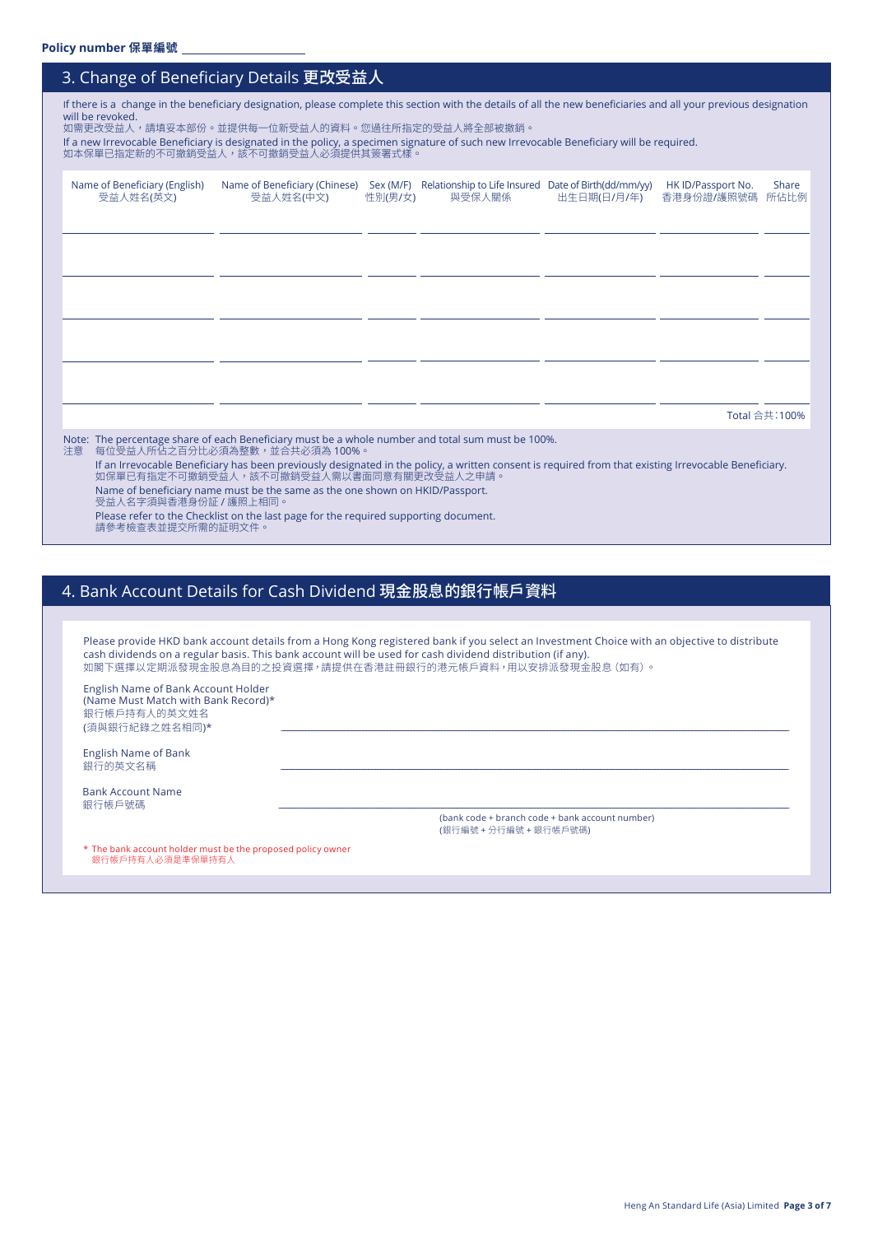|                                            | 3. Change of Beneficiary Details 更改受益人                                                                                                                                                                                                                                                                                                                                                                                  |         |        |             |                                       |                |
|--------------------------------------------|-------------------------------------------------------------------------------------------------------------------------------------------------------------------------------------------------------------------------------------------------------------------------------------------------------------------------------------------------------------------------------------------------------------------------|---------|--------|-------------|---------------------------------------|----------------|
| will be revoked.                           | If there is a change in the beneficiary designation, please complete this section with the details of all the new beneficiaries and all your previous designation<br>如需更改受益人,請填妥本部份。並提供每一位新受益人的資料。您過往所指定的受益人將全部被撤銷。<br>If a new Irrevocable Beneficiary is designated in the policy, a specimen signature of such new Irrevocable Beneficiary will be required.<br>如本保單已指定新的不可撤銷受益人,該不可撤銷受益人必須提供其簽署式樣。                  |         |        |             |                                       |                |
| Name of Beneficiary (English)<br>受益人姓名(英文) | Name of Beneficiary (Chinese) Sex (M/F) Relationship to Life Insured Date of Birth(dd/mm/yy)<br>受益人姓名(中文)                                                                                                                                                                                                                                                                                                               | 性別(男/女) | 與受保人關係 | 出生日期(日/月/年) | HK ID/Passport No.<br>香港身份證/護照號碼 所佔比例 | Share          |
|                                            |                                                                                                                                                                                                                                                                                                                                                                                                                         |         |        |             |                                       |                |
|                                            |                                                                                                                                                                                                                                                                                                                                                                                                                         |         |        |             |                                       |                |
|                                            |                                                                                                                                                                                                                                                                                                                                                                                                                         |         |        |             |                                       |                |
|                                            |                                                                                                                                                                                                                                                                                                                                                                                                                         |         |        |             |                                       | Total 合共: 100% |
| 注意<br>受益人名字須與香港身份証 / 護照上相同。                | Note: The percentage share of each Beneficiary must be a whole number and total sum must be 100%.<br>每位受益人所佔之百分比必須為整數,並合共必須為 100%。<br>If an Irrevocable Beneficiary has been previously designated in the policy, a written consent is required from that existing Irrevocable Beneficiary.<br>如保單已有指定不可撤銷受益人,該不可撤銷受益人需以書面同意有關更改受益人之申請。<br>Name of beneficiary name must be the same as the one shown on HKID/Passport. |         |        |             |                                       |                |
|                                            | Please refer to the Checklist on the last page for the required supporting document.                                                                                                                                                                                                                                                                                                                                    |         |        |             |                                       |                |

請參考檢查表並提交所需的証明文件。

# 4. Bank Account Details for Cash Dividend 現金股息的銀行帳戶資料

|                                                                                                              | Please provide HKD bank account details from a Hong Kong registered bank if you select an Investment Choice with an objective to distribute<br>cash dividends on a regular basis. This bank account will be used for cash dividend distribution (if any).<br>如閣下選擇以定期派發現金股息為目的之投資選擇,請提供在香港註冊銀行的港元帳戶資料,用以安排派發現金股息(如有)。 |
|--------------------------------------------------------------------------------------------------------------|-----------------------------------------------------------------------------------------------------------------------------------------------------------------------------------------------------------------------------------------------------------------------------------------------------------------------|
| English Name of Bank Account Holder<br>(Name Must Match with Bank Record)*<br>銀行帳戶持有人的英文姓名<br>(須與銀行紀錄之姓名相同)* |                                                                                                                                                                                                                                                                                                                       |
| <b>English Name of Bank</b><br>銀行的英文名稱                                                                       |                                                                                                                                                                                                                                                                                                                       |
| <b>Bank Account Name</b><br>銀行帳戶號碼                                                                           |                                                                                                                                                                                                                                                                                                                       |
|                                                                                                              | (bank code + branch code + bank account number)                                                                                                                                                                                                                                                                       |

(銀行編號 + 分行編號 + 銀行帳戶號碼)

\* The bank account holder must be the proposed policy owner 銀行帳戶持有人必須是準保單持有人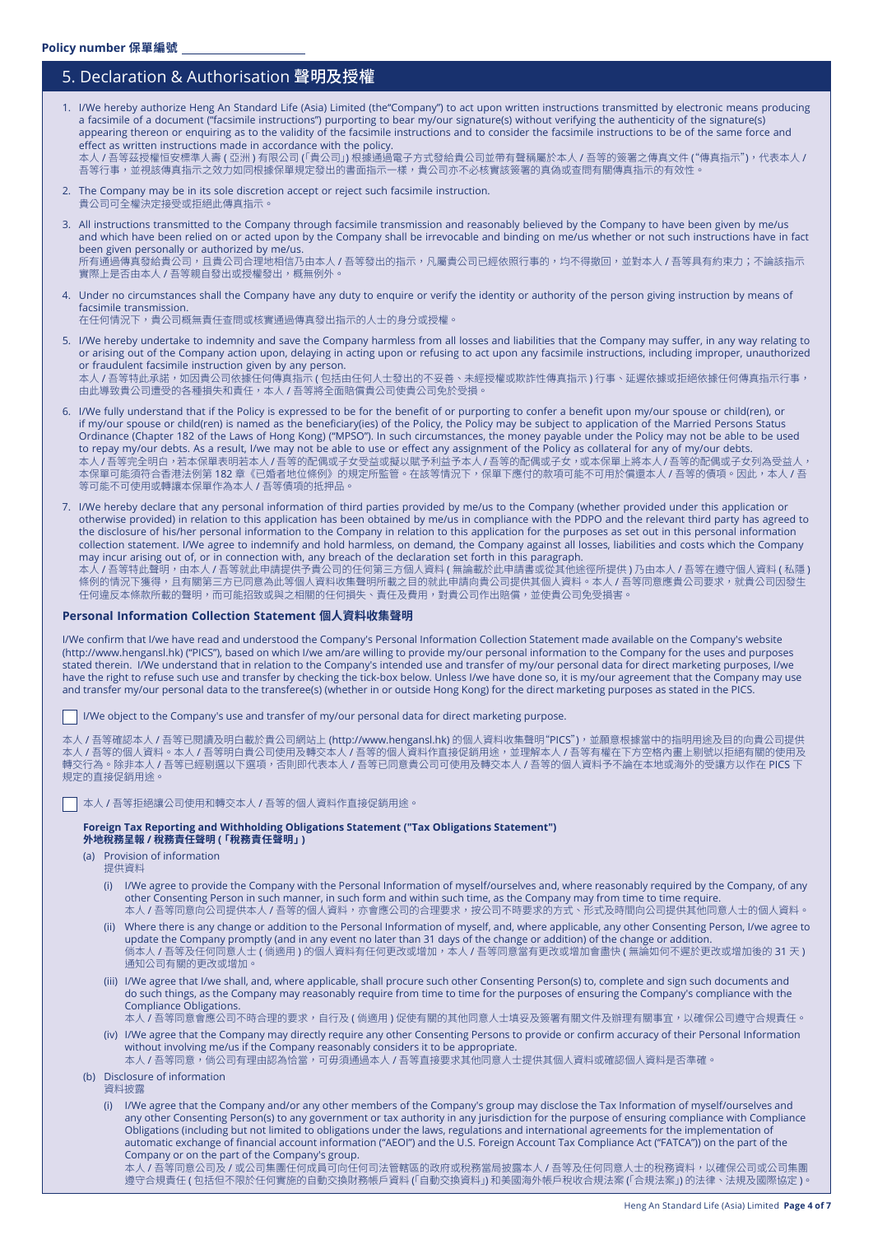## 5. Declaration & Authorisation 聲明及授權

1. I/We hereby authorize Heng An Standard Life (Asia) Limited (the"Company") to act upon written instructions transmitted by electronic means producing a facsimile of a document ("facsimile instructions") purporting to bear my/our signature(s) without verifying the authenticity of the signature(s) appearing thereon or enquiring as to the validity of the facsimile instructions and to consider the facsimile instructions to be of the same force and effect as written instructions made in accordance with the policy. 本人 / 吾等茲授權恒安標準人壽 ( 亞洲 ) 有限公司 (「貴公司」) 根據通過電子方式發給貴公司並帶有聲稱屬於本人 / 吾等的簽署之傳真文件 ("傳真指示"),代表本人 /

音等行事,亚視該傳真指示之效力如同根據保單規定發出的書面指示一樣,責公司亦不必核實該簽著的真偽或查問有關傳真指示的有效性。<br>-

- 2. The Company may be in its sole discretion accept or reject such facsimile instruction. 貴公司可全權決定接受或拒絕此傳真指示。
- 3. All instructions transmitted to the Company through facsimile transmission and reasonably believed by the Company to have been given by me/us and which have been relied on or acted upon by the Company shall be irrevocable and binding on me/us whether or not such instructions have in fact been given personally or authorized by me/us. 所有通過傳真發給貴公司,且貴公司合理地相信乃由本人 / 吾等發出的指示,凡屬貴公司已經依照行事的,均不得撤回,並對本人 / 吾等具有約束力;不論該指示 實際上是否由本人 / 吾等親自發出或授權發出,概無例外。
- 4. Under no circumstances shall the Company have any duty to enquire or verify the identity or authority of the person giving instruction by means of facsimile transmission.

在任何情況下,貴公司概無責任查問或核實通過傳真發出指示的人士的身分或授權。

- 5. I/We hereby undertake to indemnity and save the Company harmless from all losses and liabilities that the Company may suffer, in any way relating to or arising out of the Company action upon, delaying in acting upon or refusing to act upon any facsimile instructions, including improper, unauthorized or fraudulent facsimile instruction given by any person. 本人 / 吾等特此承諾,如因貴公司依據任何傳真指示 ( 包括由任何人士發出的不妥善、未經授權或欺詐性傳真指示 ) 行事、延遲依據或拒絕依據任何傳真指示行事, 由此導致貴公司遭受的各種損失和責任,本人 / 吾等將全面賠償貴公司使貴公司免於受損。
- 6. I/We fully understand that if the Policy is expressed to be for the benefit of or purporting to confer a benefit upon my/our spouse or child(ren), or if my/our spouse or child(ren) is named as the beneficiary(ies) of the Policy, the Policy may be subject to application of the Married Persons Status Ordinance (Chapter 182 of the Laws of Hong Kong) ("MPSO"). In such circumstances, the money payable under the Policy may not be able to be used to repay my/our debts. As a result, I/we may not be able to use or effect any assignment of the Policy as collateral for any of my/our debts. 本人 / 吾等完全明白,若本保單表明若本人 / 吾等的配偶或子女受益或擬以賦予利益予本人 / 吾等的配偶或子女,或本保單上將本人 / 吾等的配偶或子女列為受益人, 本保單可能須符合香港法例第 182 章《已婚者地位條例》的規定所監管。在該等情況下,保單下應付的款項可能不可用於償還本人 / 吾等的債項。因此,本人 / 吾 等可能不可使用或轉讓本保單作為本人 / 吾等債項的抵押品。
- 7. I/We hereby declare that any personal information of third parties provided by me/us to the Company (whether provided under this application or otherwise provided) in relation to this application has been obtained by me/us in compliance with the PDPO and the relevant third party has agreed to the disclosure of his/her personal information to the Company in relation to this application for the purposes as set out in this personal information collection statement. I/We agree to indemnify and hold harmless, on demand, the Company against all losses, liabilities and costs which the Company may incur arising out of, or in connection with, any breach of the declaration set forth in this paragraph. 本人 / 吾等特此聲明,由本人 / 吾等就此申請提供予貴公司的任何第三方個人資料 ( 無論載於此申請書或從其他途徑所提供 ) 乃由本人 / 吾等在遵守個人資料 ( 私隱 ) 條例的情況下獲得,且有關第三方已同意為此等個人資料收集聲明所載之目的就此申請向貴公司提供其個人資料。本人 / 吾等同意應貴公司要求,就貴公司因發生 任何違反本條款所載的聲明,而可能招致或與之相關的任何損失、責任及費用,對貴公司作出賠償,並使貴公司免受損害。

### **Personal Information Collection Statement 個人資料收集聲明**

I/We confirm that I/we have read and understood the Company's Personal Information Collection Statement made available on the Company's website (http://www.hengansl.hk) ("PICS"), based on which I/we am/are willing to provide my/our personal information to the Company for the uses and purposes stated therein. I/We understand that in relation to the Company's intended use and transfer of my/our personal data for direct marketing purposes, I/we have the right to refuse such use and transfer by checking the tick-box below. Unless I/we have done so, it is my/our agreement that the Company may use and transfer my/our personal data to the transferee(s) (whether in or outside Hong Kong) for the direct marketing purposes as stated in the PICS.

I/We object to the Company's use and transfer of my/our personal data for direct marketing purpose.

本人 / 吾等確認本人 / 吾等已閱讀及明白載於貴公司網站上 (http://www.hengansl.hk) 的個人資料收集聲明"PICS"),並願意根據當中的指明用途及目的向貴公司提供 本人 / 吾等的個人資料。本人 / 吾等明白貴公司使用及轉交本人 / 吾等的個人資料作直接促銷用途,並理解本人 / 吾等有權在下方空格內畫上剔號以拒絕有關的使用及 轉交行為。除非本人 / 吾等已經剔選以下選項,否則即代表本人 / 吾等已同意貴公司可使用及轉交本人 / 吾等的個人資料予不論在本地或海外的受讓方以作在 PICS 下 規定的直接促銷用途。

本人 / 吾等拒絕讓公司使用和轉交本人 / 吾等的個人資料作直接促銷用途。

**Foreign Tax Reporting and Withholding Obligations Statement ("Tax Obligations Statement") 外地稅務呈報 / 稅務責任聲明 (「稅務責任聲明」)**

- (a) Provision of information
	- 提供資料
	- (i) I/We agree to provide the Company with the Personal Information of myself/ourselves and, where reasonably required by the Company, of any other Consenting Person in such manner, in such form and within such time, as the Company may from time to time require. 本人 / 吾等同意向公司提供本人 / 吾等的個人資料,亦會應公司的合理要求,按公司不時要求的方式、形式及時間向公司提供其他同意人士的個人資料。
	- (ii) Where there is any change or addition to the Personal Information of myself, and, where applicable, any other Consenting Person, I/we agree to update the Company promptly (and in any event no later than 31 days of the change or addition) of the change or addition. 倘本人 / 吾等及任何同意人士 ( 倘適用 ) 的個人資料有任何更改或增加,本人 / 吾等同意當有更改或增加會盡快 ( 無論如何不遲於更改或增加後的 31 天 ) 通知公司有關的更改或增加。
	- (iii) I/We agree that I/we shall, and, where applicable, shall procure such other Consenting Person(s) to, complete and sign such documents and do such things, as the Company may reasonably require from time to time for the purposes of ensuring the Company's compliance with the Compliance Obligations.

+人 / 吾等同意會應公司不時合理的要求,自行及 ( 倘適用 ) 促使有關的其他同意人士填妥及簽署有關文件及辦理有關事宜,以確保公司遵守合規責任。 (iv) I/We agree that the Company may directly require any other Consenting Persons to provide or confirm accuracy of their Personal Information

- without involving me/us if the Company reasonably considers it to be appropriate. 本人 / 吾等同意,倘公司有理由認為恰當,可毋須通過本人 / 吾等直接要求其他同意人士提供其個人資料或確認個人資料是否準確。
- (b) Disclosure of information
	- 資料披露

 (i) I/We agree that the Company and/or any other members of the Company's group may disclose the Tax Information of myself/ourselves and any other Consenting Person(s) to any government or tax authority in any jurisdiction for the purpose of ensuring compliance with Compliance Obligations (including but not limited to obligations under the laws, regulations and international agreements for the implementation of automatic exchange of financial account information ("AEOI") and the U.S. Foreign Account Tax Compliance Act ("FATCA")) on the part of the Company or on the part of the Company's group.

本人 / 吾等同意公司及 / 或公司集團任何成員可向任何司法管轄區的政府或稅務當局披露本人 / 吾等及任何同意人士的稅務資料,以確保公司或公司集團 遵守合規責任 ( 包括但不限於任何實施的自動交換財務帳戶資料「( 自動交換資料」) 和美國海外帳戶稅收合規法案「( 合規法案」) 的法律、法規及國際協定 )。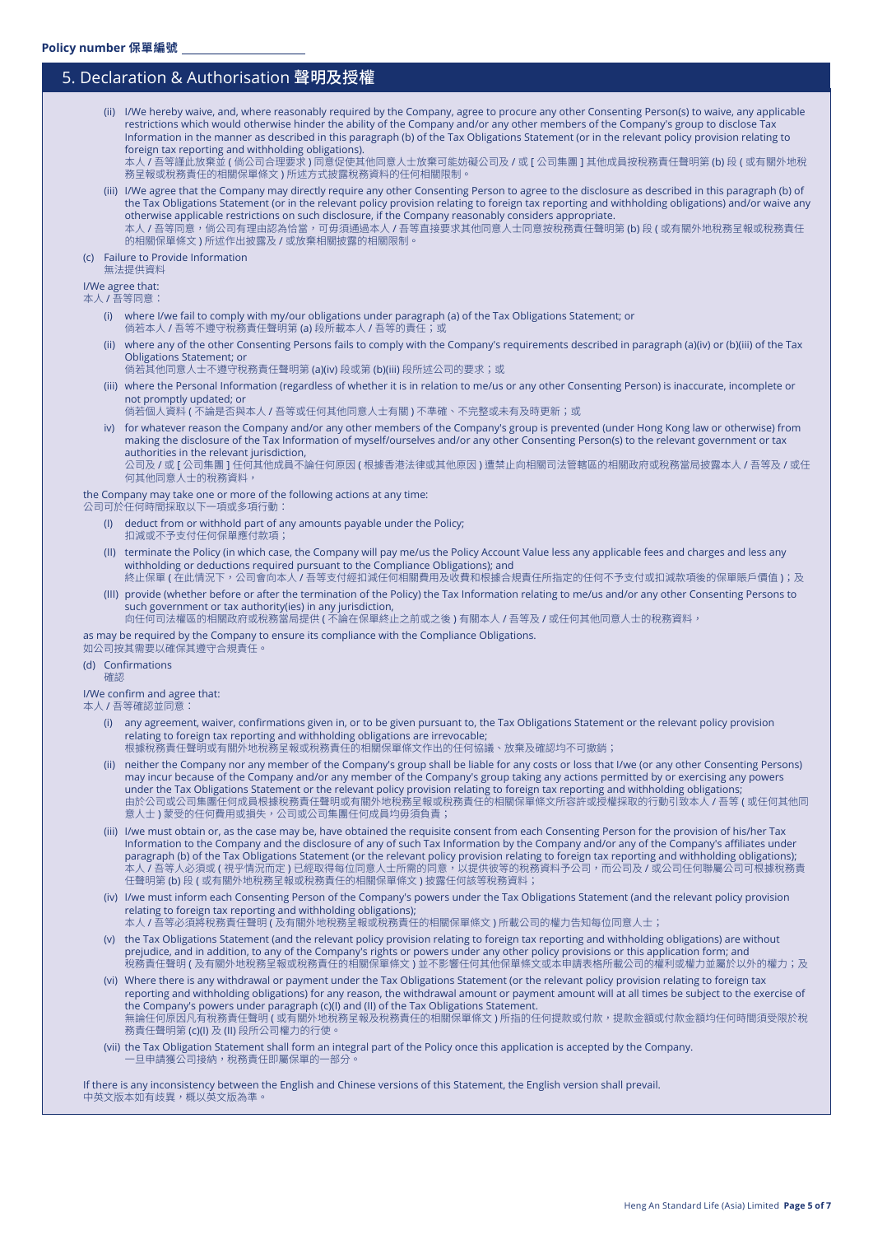## 5. Declaration & Authorisation 聲明及授權

(ii) I/We hereby waive, and, where reasonably required by the Company, agree to procure any other Consenting Person(s) to waive, any applicable restrictions which would otherwise hinder the ability of the Company and/or any other members of the Company's group to disclose Tax Information in the manner as described in this paragraph (b) of the Tax Obligations Statement (or in the relevant policy provision relating to foreign tax reporting and withholding obligations).

本人 / 吾等謹此放棄並 ( 倘公司合理要求 ) 同意促使其他同意人士放棄可能妨礙公司及 / 或 [ 公司集團 ] 其他成員按稅務責任聲明第 (b) 段 ( 或有關外地稅 務呈報或稅務責任的相關保單條文 ) 所述方式披露稅務資料的任何相關限制。

(iii) I/We agree that the Company may directly require any other Consenting Person to agree to the disclosure as described in this paragraph (b) of the Tax Obligations Statement (or in the relevant policy provision relating to foreign tax reporting and withholding obligations) and/or waive any otherwise applicable restrictions on such disclosure, if the Company reasonably considers appropriate. 本人 / 吾等同意,倘公司有理由認為恰當,可毋須通過本人 / 吾等直接要求其他同意人士同意按稅務責任聲明第 (b) 段 ( 或有關外地稅務呈報或稅務責任 的相關保單條文 ) 所述作出披露及 / 或放棄相關披露的相關限制。

#### (c) Failure to Provide Information

無法提供資料

## I/We agree that:

本人 / 吾等同意:

- (i) where I/we fail to comply with my/our obligations under paragraph (a) of the Tax Obligations Statement; or 倘若本人 / 吾等不遵守稅務責任聲明第 (a) 段所載本人 / 吾等的責任; 或
- (ii) where any of the other Consenting Persons fails to comply with the Company's requirements described in paragraph (a)(iv) or (b)(iii) of the Tax Obligations Statement; or
	- 倘若其他同意人士不遵守稅務責任聲明第 (a)(iv) 段或第 (b)(iii) 段所述公司的要求;或
- (iii) where the Personal Information (regardless of whether it is in relation to me/us or any other Consenting Person) is inaccurate, incomplete or not promptly updated; or
	- 倘若個人資料 ( 不論是否與本人 / 吾等或任何其他同意人士有關 ) 不準確、不完整或未有及時更新;或
- iv) for whatever reason the Company and/or any other members of the Company's group is prevented (under Hong Kong law or otherwise) from making the disclosure of the Tax Information of myself/ourselves and/or any other Consenting Person(s) to the relevant government or tax authorities in the relevant jurisdiction, 公司及 / 或 [ 公司集團 ] 任何其他成員不論任何原因 ( 根據香港法律或其他原因 ) 遭禁止向相關司法管轄區的相關政府或稅務當局披露本人 / 吾等及 / 或任 何其他同意人士的稅務資料,

#### the Company may take one or more of the following actions at any time:

公司可於任何時間採取以下一項或多項行動:

- (I) deduct from or withhold part of any amounts payable under the Policy; 扣減或不予支付任何保單應付款項;
- (II) terminate the Policy (in which case, the Company will pay me/us the Policy Account Value less any applicable fees and charges and less any withholding or deductions required pursuant to the Compliance Obligations); and
- 終止保單 ( 在此情況下,公司會向本人 / 吾等支付經扣減任何相關費用及收費和根據合規責任所指定的任何不予支付或扣減款項後的保單賬戶價值 );及 (III) provide (whether before or after the termination of the Policy) the Tax Information relating to me/us and/or any other Consenting Persons to
- such government or tax authority(ies) in any jurisdiction, 向任何司法權區的相關政府或稅務當局提供 ( 不論在保單終止之前或之後 ) 有關本人 / 吾等及 / 或任何其他同意人士的稅務資料,

as may be required by the Company to ensure its compliance with the Compliance Obligations.

#### 如公司按其需要以確保其遵守合規責任。

### (d) Confirmations

確認

### I/We confirm and agree that:

本人 / 吾等確認並同意:

- (i) any agreement, waiver, confirmations given in, or to be given pursuant to, the Tax Obligations Statement or the relevant policy provision relating to foreign tax reporting and withholding obligations are irrevocable;
- 根據稅務責任聲明或有關外地稅務呈報或稅務責任的相關保單條文作出的任何協議、放棄及確認均不可撤銷;
- (ii) neither the Company nor any member of the Company's group shall be liable for any costs or loss that I/we (or any other Consenting Persons) may incur because of the Company and/or any member of the Company's group taking any actions permitted by or exercising any powers under the Tax Obligations Statement or the relevant policy provision relating to foreign tax reporting and withholding obligations; 由於公司或公司集團任何成員根據稅務責任聲明或有關外地稅務呈報或稅務責任的相關保單條文所容許或授權採取的行動引致本人 / 吾等 ( 或任何其他同 意人士) 蒙受的任何費用或損失,公司或公司集團任何成員均毋須負責;
- (iii) I/we must obtain or, as the case may be, have obtained the requisite consent from each Consenting Person for the provision of his/her Tax Information to the Company and the disclosure of any of such Tax Information by the Company and/or any of the Company's affiliates under paragraph (b) of the Tax Obligations Statement (or the relevant policy provision relating to foreign tax reporting and withholding obligations); 本人 / 吾等人必須或 ( 視乎情況而定 ) 已經取得每位同意人士所需的同意,以提供彼等的稅務資料予公司,而公司及 / 或公司任何聯屬公司可根據稅務責 任聲明第 (b) 段 ( 或有關外地稅務呈報或稅務責任的相關保單條文 ) 披露任何該等稅務資料;
- (iv) I/we must inform each Consenting Person of the Company's powers under the Tax Obligations Statement (and the relevant policy provision relating to foreign tax reporting and withholding obligations);
- 本人 / 吾等必須將稅務責任聲明 ( 及有關外地稅務呈報或稅務責任的相關保單條文 ) 所載公司的權力告知每位同意人士;
- (v) the Tax Obligations Statement (and the relevant policy provision relating to foreign tax reporting and withholding obligations) are without prejudice, and in addition, to any of the Company's rights or powers under any other policy provisions or this application form; and 稅務責任聲明 ( 及有關外地稅務呈報或稅務責任的相關保單條文 ) 並不影響任何其他保單條文或本申請表格所載公司的權利或權力並屬於以外的權力;及
- (vi) Where there is any withdrawal or payment under the Tax Obligations Statement (or the relevant policy provision relating to foreign tax reporting and withholding obligations) for any reason, the withdrawal amount or payment amount will at all times be subject to the exercise of the Company's powers under paragraph (c)(I) and (II) of the Tax Obligations Statement. 無論任何原因凡有稅務責任聲明 ( 或有關外地稅務呈報及稅務責任的相關保單條文 ) 所指的任何提款或付款,提款金額或付款金額均任何時間須受限於稅 務責任聲明第 (c)(I) 及 (II) 段所公司權力的行使。
- (vii) the Tax Obligation Statement shall form an integral part of the Policy once this application is accepted by the Company. -旦申請獲公司接納,稅務責任即屬保單的一部分

If there is any inconsistency between the English and Chinese versions of this Statement, the English version shall prevail. 中英文版本如有歧異,概以英文版為準。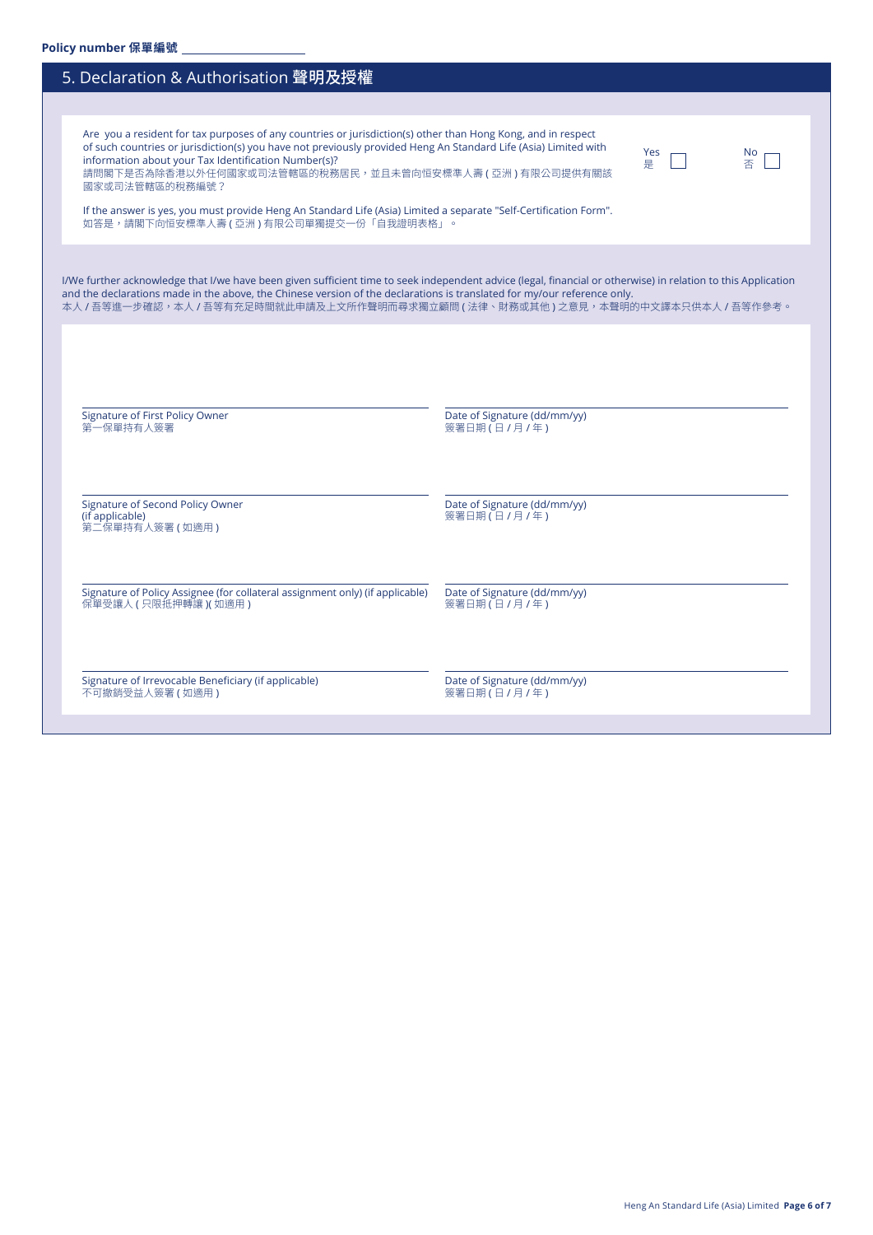| 5. Declaration & Authorisation 聲明及授權                                                                                                                                                                                                                                                                                                                                            |                                             |
|---------------------------------------------------------------------------------------------------------------------------------------------------------------------------------------------------------------------------------------------------------------------------------------------------------------------------------------------------------------------------------|---------------------------------------------|
|                                                                                                                                                                                                                                                                                                                                                                                 |                                             |
| Are you a resident for tax purposes of any countries or jurisdiction(s) other than Hong Kong, and in respect<br>of such countries or jurisdiction(s) you have not previously provided Heng An Standard Life (Asia) Limited with<br>information about your Tax Identification Number(s)?<br>請問閣下是否為除香港以外任何國家或司法管轄區的稅務居民,並且未曾向恒安標準人壽(亞洲)有限公司提供有關該<br>國家或司法管轄區的稅務編號?               | <b>Yes</b><br>No.<br>否<br>릁                 |
| If the answer is yes, you must provide Heng An Standard Life (Asia) Limited a separate "Self-Certification Form".<br>如答是,請閣下向恒安標準人壽 ( 亞洲 ) 有限公司單獨提交一份「自我證明表格」。                                                                                                                                                                                                                  |                                             |
| I/We further acknowledge that I/we have been given sufficient time to seek independent advice (legal, financial or otherwise) in relation to this Application<br>and the declarations made in the above, the Chinese version of the declarations is translated for my/our reference only.<br>本人 / 吾等進一步確認,本人 / 吾等有充足時間就此申請及上文所作聲明而尋求獨立顧問 ( 法律、財務或其他 ) 之意見,本聲明的中文譯本只供本人 / 吾等作參考。 |                                             |
| Signature of First Policy Owner                                                                                                                                                                                                                                                                                                                                                 | Date of Signature (dd/mm/yy)                |
| 第一保單持有人簽署                                                                                                                                                                                                                                                                                                                                                                       | 簽署日期(日/月/年)                                 |
| Signature of Second Policy Owner<br>(if applicable)<br>第二保單持有人簽署 ( 如適用 )                                                                                                                                                                                                                                                                                                        | Date of Signature (dd/mm/yy)<br>簽署日期(日/月/年) |
| Signature of Policy Assignee (for collateral assignment only) (if applicable)<br>保單受讓人 (只限抵押轉讓) (如適用)                                                                                                                                                                                                                                                                           | Date of Signature (dd/mm/yy)<br>簽署日期(日/月/年) |
| Signature of Irrevocable Beneficiary (if applicable)<br>不可撤銷受益人簽署 (如適用)                                                                                                                                                                                                                                                                                                         | Date of Signature (dd/mm/yy)<br>簽署日期(日/月/年) |